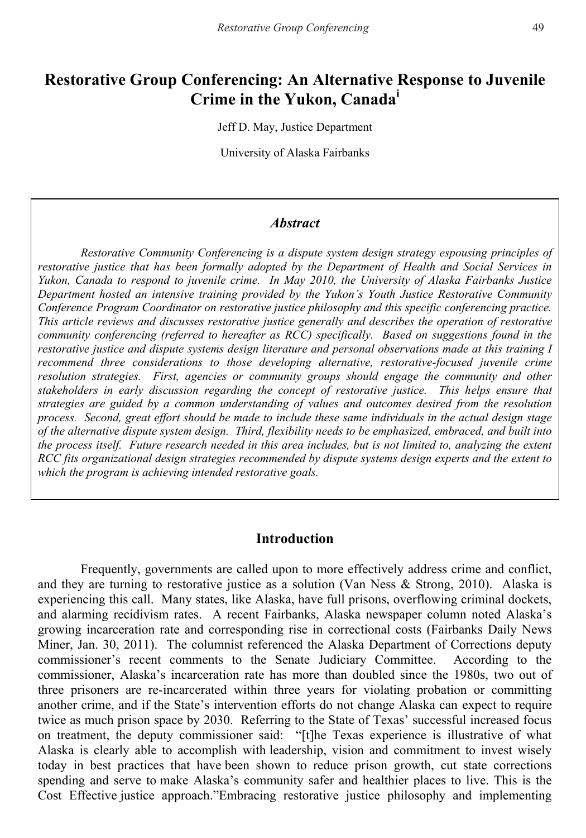# **Restorative Group Conferencing: An Alternative Response to Juvenile Crime in the Yukon, Canada<sup>i</sup>**

Jeff D. May, Justice Department

University of Alaska Fairbanks

#### *Abstract*

*Restorative Community Conferencing is a dispute system design strategy espousing principles of restorative justice that has been formally adopted by the Department of Health and Social Services in Yukon, Canada to respond to juvenile crime. In May 2010, the University of Alaska Fairbanks Justice Department hosted an intensive training provided by the Yukon's Youth Justice Restorative Community Conference Program Coordinator on restorative justice philosophy and this specific conferencing practice. This article reviews and discusses restorative justice generally and describes the operation of restorative community conferencing (referred to hereafter as RCC) specifically. Based on suggestions found in the restorative justice and dispute systems design literature and personal observations made at this training I recommend three considerations to those developing alternative, restorative-focused juvenile crime resolution strategies. First, agencies or community groups should engage the community and other stakeholders in early discussion regarding the concept of restorative justice. This helps ensure that strategies are guided by a common understanding of values and outcomes desired from the resolution process. Second, great effort should be made to include these same individuals in the actual design stage of the alternative dispute system design. Third, flexibility needs to be emphasized, embraced, and built into the process itself. Future research needed in this area includes, but is not limited to, analyzing the extent RCC fits organizational design strategies recommended by dispute systems design experts and the extent to which the program is achieving intended restorative goals.* 

#### **Introduction**

Frequently, governments are called upon to more effectively address crime and conflict, and they are turning to restorative justice as a solution (Van Ness & Strong, 2010). Alaska is experiencing this call. Many states, like Alaska, have full prisons, overflowing criminal dockets, and alarming recidivism rates. A recent Fairbanks, Alaska newspaper column noted Alaska's growing incarceration rate and corresponding rise in correctional costs (Fairbanks Daily News Miner, Jan. 30, 2011). The columnist referenced the Alaska Department of Corrections deputy commissioner's recent comments to the Senate Judiciary Committee. According to the commissioner, Alaska's incarceration rate has more than doubled since the 1980s, two out of three prisoners are re-incarcerated within three years for violating probation or committing another crime, and if the State's intervention efforts do not change Alaska can expect to require twice as much prison space by 2030. Referring to the State of Texas' successful increased focus on treatment, the deputy commissioner said: "[t]he Texas experience is illustrative of what Alaska is clearly able to accomplish with leadership, vision and commitment to invest wisely today in best practices that have been shown to reduce prison growth, cut state corrections spending and serve to make Alaska's community safer and healthier places to live. This is the Cost Effective justice approach."Embracing restorative justice philosophy and implementing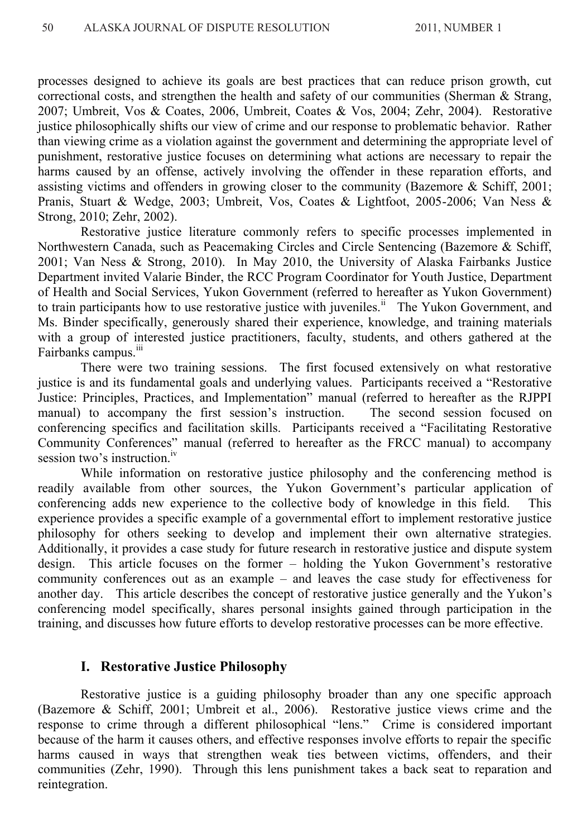processes designed to achieve its goals are best practices that can reduce prison growth, cut correctional costs, and strengthen the health and safety of our communities (Sherman & Strang, 2007; Umbreit, Vos & Coates, 2006, Umbreit, Coates & Vos, 2004; Zehr, 2004). Restorative justice philosophically shifts our view of crime and our response to problematic behavior. Rather than viewing crime as a violation against the government and determining the appropriate level of punishment, restorative justice focuses on determining what actions are necessary to repair the harms caused by an offense, actively involving the offender in these reparation efforts, and assisting victims and offenders in growing closer to the community (Bazemore & Schiff, 2001; Pranis, Stuart & Wedge, 2003; Umbreit, Vos, Coates & Lightfoot, 2005-2006; Van Ness & Strong, 2010; Zehr, 2002).

Restorative justice literature commonly refers to specific processes implemented in Northwestern Canada, such as Peacemaking Circles and Circle Sentencing (Bazemore & Schiff, 2001; Van Ness & Strong, 2010). In May 2010, the University of Alaska Fairbanks Justice Department invited Valarie Binder, the RCC Program Coordinator for Youth Justice, Department of Health and Social Services, Yukon Government (referred to hereafter as Yukon Government) to train participants how to use restorative justice with juveniles.<sup>ii</sup> The Yukon Government, and Ms. Binder specifically, generously shared their experience, knowledge, and training materials with a group of interested justice practitioners, faculty, students, and others gathered at the Fairbanks campus.<sup>iii</sup>

There were two training sessions. The first focused extensively on what restorative justice is and its fundamental goals and underlying values. Participants received a "Restorative Justice: Principles, Practices, and Implementation" manual (referred to hereafter as the RJPPI manual) to accompany the first session's instruction. The second session focused on conferencing specifics and facilitation skills. Participants received a "Facilitating Restorative Community Conferences" manual (referred to hereafter as the FRCC manual) to accompany session two's instruction.<sup>iv</sup>

While information on restorative justice philosophy and the conferencing method is readily available from other sources, the Yukon Government's particular application of conferencing adds new experience to the collective body of knowledge in this field. This experience provides a specific example of a governmental effort to implement restorative justice philosophy for others seeking to develop and implement their own alternative strategies. Additionally, it provides a case study for future research in restorative justice and dispute system design. This article focuses on the former – holding the Yukon Government's restorative community conferences out as an example – and leaves the case study for effectiveness for another day. This article describes the concept of restorative justice generally and the Yukon's conferencing model specifically, shares personal insights gained through participation in the training, and discusses how future efforts to develop restorative processes can be more effective.

#### **I. Restorative Justice Philosophy**

Restorative justice is a guiding philosophy broader than any one specific approach (Bazemore & Schiff, 2001; Umbreit et al., 2006). Restorative justice views crime and the response to crime through a different philosophical "lens." Crime is considered important because of the harm it causes others, and effective responses involve efforts to repair the specific harms caused in ways that strengthen weak ties between victims, offenders, and their communities (Zehr, 1990). Through this lens punishment takes a back seat to reparation and reintegration.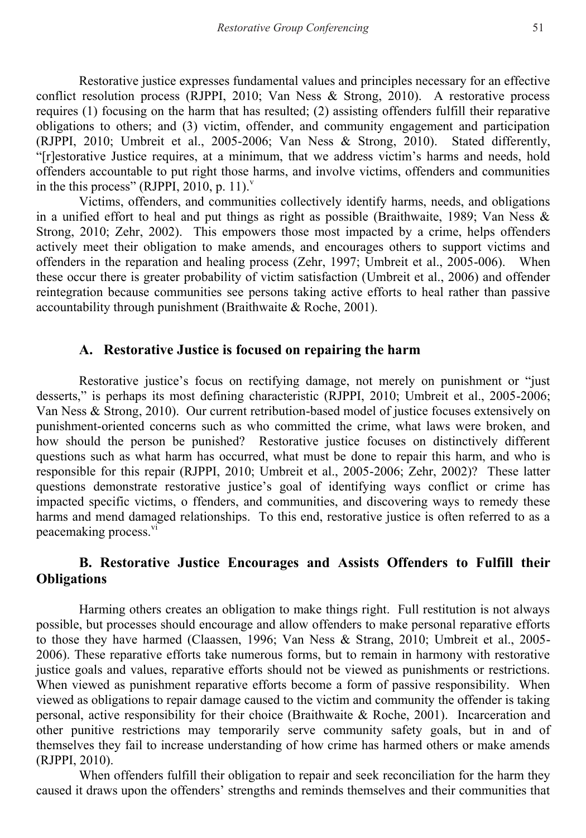Restorative justice expresses fundamental values and principles necessary for an effective conflict resolution process (RJPPI, 2010; Van Ness & Strong, 2010). A restorative process requires (1) focusing on the harm that has resulted; (2) assisting offenders fulfill their reparative obligations to others; and (3) victim, offender, and community engagement and participation (RJPPI, 2010; Umbreit et al., 2005-2006; Van Ness & Strong, 2010). Stated differently, "[r]estorative Justice requires, at a minimum, that we address victim's harms and needs, hold offenders accountable to put right those harms, and involve victims, offenders and communities in the this process" (RJPPI, 2010, p. 11).<sup>v</sup>

Victims, offenders, and communities collectively identify harms, needs, and obligations in a unified effort to heal and put things as right as possible (Braithwaite, 1989; Van Ness  $\&$ Strong, 2010; Zehr, 2002). This empowers those most impacted by a crime, helps offenders actively meet their obligation to make amends, and encourages others to support victims and offenders in the reparation and healing process (Zehr, 1997; Umbreit et al., 2005-006). When these occur there is greater probability of victim satisfaction (Umbreit et al., 2006) and offender reintegration because communities see persons taking active efforts to heal rather than passive accountability through punishment (Braithwaite & Roche, 2001).

#### **A. Restorative Justice is focused on repairing the harm**

Restorative justice's focus on rectifying damage, not merely on punishment or "just desserts," is perhaps its most defining characteristic (RJPPI, 2010; Umbreit et al., 2005-2006; Van Ness & Strong, 2010). Our current retribution-based model of justice focuses extensively on punishment-oriented concerns such as who committed the crime, what laws were broken, and how should the person be punished? Restorative justice focuses on distinctively different questions such as what harm has occurred, what must be done to repair this harm, and who is responsible for this repair (RJPPI, 2010; Umbreit et al., 2005-2006; Zehr, 2002)? These latter questions demonstrate restorative justice's goal of identifying ways conflict or crime has impacted specific victims, o ffenders, and communities, and discovering ways to remedy these harms and mend damaged relationships. To this end, restorative justice is often referred to as a peacemaking process.<sup>vi</sup>

# **B. Restorative Justice Encourages and Assists Offenders to Fulfill their Obligations**

Harming others creates an obligation to make things right. Full restitution is not always possible, but processes should encourage and allow offenders to make personal reparative efforts to those they have harmed (Claassen, 1996; Van Ness & Strang, 2010; Umbreit et al., 2005- 2006). These reparative efforts take numerous forms, but to remain in harmony with restorative justice goals and values, reparative efforts should not be viewed as punishments or restrictions. When viewed as punishment reparative efforts become a form of passive responsibility. When viewed as obligations to repair damage caused to the victim and community the offender is taking personal, active responsibility for their choice (Braithwaite & Roche, 2001). Incarceration and other punitive restrictions may temporarily serve community safety goals, but in and of themselves they fail to increase understanding of how crime has harmed others or make amends (RJPPI, 2010).

When offenders fulfill their obligation to repair and seek reconciliation for the harm they caused it draws upon the offenders' strengths and reminds themselves and their communities that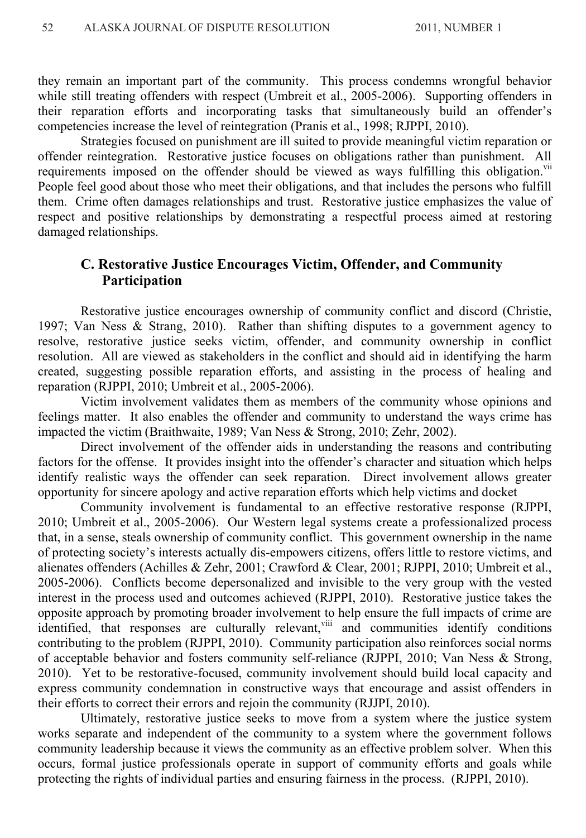they remain an important part of the community. This process condemns wrongful behavior while still treating offenders with respect (Umbreit et al., 2005-2006). Supporting offenders in their reparation efforts and incorporating tasks that simultaneously build an offender's competencies increase the level of reintegration (Pranis et al., 1998; RJPPI, 2010).

Strategies focused on punishment are ill suited to provide meaningful victim reparation or offender reintegration. Restorative justice focuses on obligations rather than punishment. All requirements imposed on the offender should be viewed as ways fulfilling this obligation.<sup>vii</sup> People feel good about those who meet their obligations, and that includes the persons who fulfill them. Crime often damages relationships and trust. Restorative justice emphasizes the value of respect and positive relationships by demonstrating a respectful process aimed at restoring damaged relationships.

# **C. Restorative Justice Encourages Victim, Offender, and Community Participation**

Restorative justice encourages ownership of community conflict and discord (Christie, 1997; Van Ness & Strang, 2010). Rather than shifting disputes to a government agency to resolve, restorative justice seeks victim, offender, and community ownership in conflict resolution. All are viewed as stakeholders in the conflict and should aid in identifying the harm created, suggesting possible reparation efforts, and assisting in the process of healing and reparation (RJPPI, 2010; Umbreit et al., 2005-2006).

Victim involvement validates them as members of the community whose opinions and feelings matter. It also enables the offender and community to understand the ways crime has impacted the victim (Braithwaite, 1989; Van Ness & Strong, 2010; Zehr, 2002).

Direct involvement of the offender aids in understanding the reasons and contributing factors for the offense. It provides insight into the offender's character and situation which helps identify realistic ways the offender can seek reparation. Direct involvement allows greater opportunity for sincere apology and active reparation efforts which help victims and docket

Community involvement is fundamental to an effective restorative response (RJPPI, 2010; Umbreit et al., 2005-2006). Our Western legal systems create a professionalized process that, in a sense, steals ownership of community conflict. This government ownership in the name of protecting society's interests actually dis-empowers citizens, offers little to restore victims, and alienates offenders (Achilles & Zehr, 2001; Crawford & Clear, 2001; RJPPI, 2010; Umbreit et al., 2005-2006). Conflicts become depersonalized and invisible to the very group with the vested interest in the process used and outcomes achieved (RJPPI, 2010). Restorative justice takes the opposite approach by promoting broader involvement to help ensure the full impacts of crime are identified, that responses are culturally relevant,<sup>viii</sup> and communities identify conditions contributing to the problem (RJPPI, 2010). Community participation also reinforces social norms of acceptable behavior and fosters community self-reliance (RJPPI, 2010; Van Ness & Strong, 2010). Yet to be restorative-focused, community involvement should build local capacity and express community condemnation in constructive ways that encourage and assist offenders in their efforts to correct their errors and rejoin the community (RJJPI, 2010).

 Ultimately, restorative justice seeks to move from a system where the justice system works separate and independent of the community to a system where the government follows community leadership because it views the community as an effective problem solver. When this occurs, formal justice professionals operate in support of community efforts and goals while protecting the rights of individual parties and ensuring fairness in the process. (RJPPI, 2010).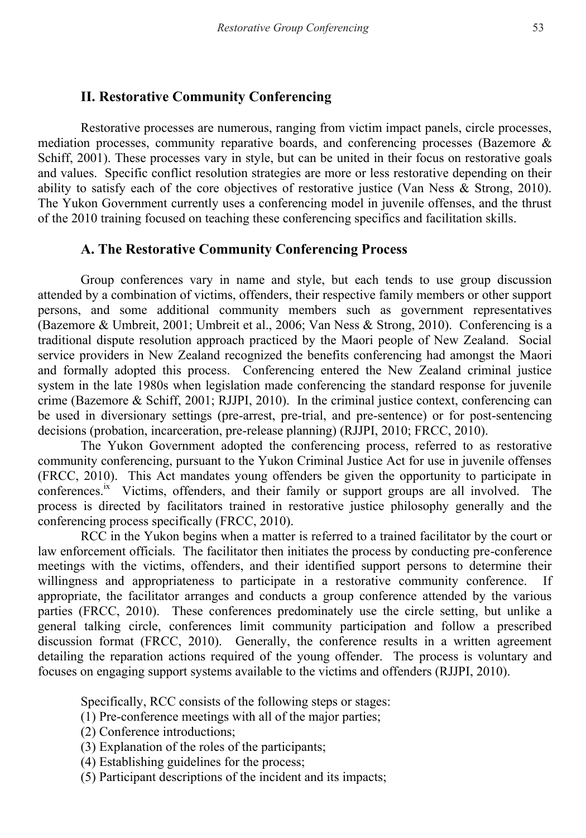## **II. Restorative Community Conferencing**

 Restorative processes are numerous, ranging from victim impact panels, circle processes, mediation processes, community reparative boards, and conferencing processes (Bazemore & Schiff, 2001). These processes vary in style, but can be united in their focus on restorative goals and values. Specific conflict resolution strategies are more or less restorative depending on their ability to satisfy each of the core objectives of restorative justice (Van Ness & Strong, 2010). The Yukon Government currently uses a conferencing model in juvenile offenses, and the thrust of the 2010 training focused on teaching these conferencing specifics and facilitation skills.

#### **A. The Restorative Community Conferencing Process**

Group conferences vary in name and style, but each tends to use group discussion attended by a combination of victims, offenders, their respective family members or other support persons, and some additional community members such as government representatives (Bazemore & Umbreit, 2001; Umbreit et al., 2006; Van Ness & Strong, 2010).Conferencing is a traditional dispute resolution approach practiced by the Maori people of New Zealand. Social service providers in New Zealand recognized the benefits conferencing had amongst the Maori and formally adopted this process. Conferencing entered the New Zealand criminal justice system in the late 1980s when legislation made conferencing the standard response for juvenile crime (Bazemore & Schiff, 2001; RJJPI, 2010). In the criminal justice context, conferencing can be used in diversionary settings (pre-arrest, pre-trial, and pre-sentence) or for post-sentencing decisions (probation, incarceration, pre-release planning) (RJJPI, 2010; FRCC, 2010).

The Yukon Government adopted the conferencing process, referred to as restorative community conferencing, pursuant to the Yukon Criminal Justice Act for use in juvenile offenses (FRCC, 2010). This Act mandates young offenders be given the opportunity to participate in conferences.<sup>ix</sup> Victims, offenders, and their family or support groups are all involved. The process is directed by facilitators trained in restorative justice philosophy generally and the conferencing process specifically (FRCC, 2010).

RCC in the Yukon begins when a matter is referred to a trained facilitator by the court or law enforcement officials. The facilitator then initiates the process by conducting pre-conference meetings with the victims, offenders, and their identified support persons to determine their willingness and appropriateness to participate in a restorative community conference. If appropriate, the facilitator arranges and conducts a group conference attended by the various parties (FRCC, 2010). These conferences predominately use the circle setting, but unlike a general talking circle, conferences limit community participation and follow a prescribed discussion format (FRCC, 2010). Generally, the conference results in a written agreement detailing the reparation actions required of the young offender. The process is voluntary and focuses on engaging support systems available to the victims and offenders (RJJPI, 2010).

Specifically, RCC consists of the following steps or stages:

(1) Pre-conference meetings with all of the major parties;

- (2) Conference introductions;
- (3) Explanation of the roles of the participants;
- (4) Establishing guidelines for the process;
- (5) Participant descriptions of the incident and its impacts;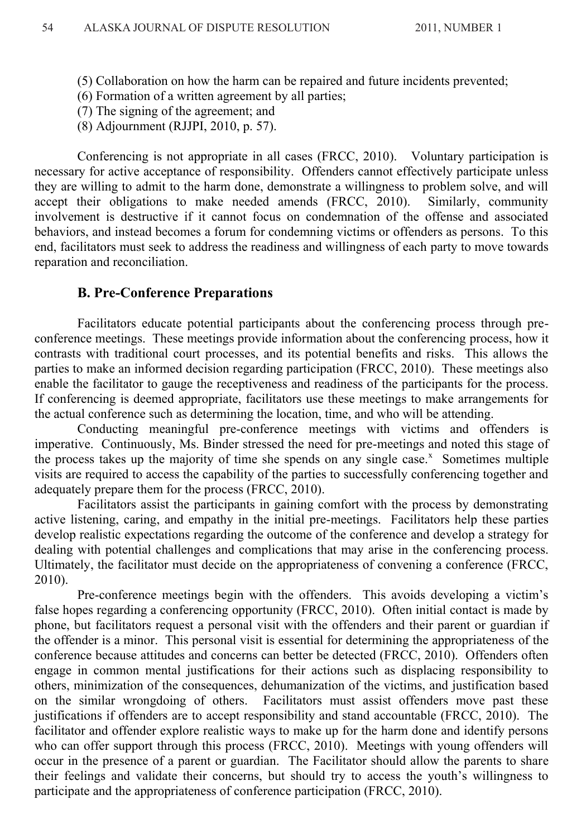- (5) Collaboration on how the harm can be repaired and future incidents prevented;
- (6) Formation of a written agreement by all parties;
- (7) The signing of the agreement; and
- (8) Adjournment (RJJPI, 2010, p. 57).

Conferencing is not appropriate in all cases (FRCC, 2010). Voluntary participation is necessary for active acceptance of responsibility. Offenders cannot effectively participate unless they are willing to admit to the harm done, demonstrate a willingness to problem solve, and will accept their obligations to make needed amends (FRCC, 2010). Similarly, community involvement is destructive if it cannot focus on condemnation of the offense and associated behaviors, and instead becomes a forum for condemning victims or offenders as persons. To this end, facilitators must seek to address the readiness and willingness of each party to move towards reparation and reconciliation.

#### **B. Pre-Conference Preparations**

Facilitators educate potential participants about the conferencing process through preconference meetings. These meetings provide information about the conferencing process, how it contrasts with traditional court processes, and its potential benefits and risks. This allows the parties to make an informed decision regarding participation (FRCC, 2010). These meetings also enable the facilitator to gauge the receptiveness and readiness of the participants for the process. If conferencing is deemed appropriate, facilitators use these meetings to make arrangements for the actual conference such as determining the location, time, and who will be attending.

Conducting meaningful pre-conference meetings with victims and offenders is imperative. Continuously, Ms. Binder stressed the need for pre-meetings and noted this stage of the process takes up the majority of time she spends on any single case. $x$  Sometimes multiple visits are required to access the capability of the parties to successfully conferencing together and adequately prepare them for the process (FRCC, 2010).

Facilitators assist the participants in gaining comfort with the process by demonstrating active listening, caring, and empathy in the initial pre-meetings. Facilitators help these parties develop realistic expectations regarding the outcome of the conference and develop a strategy for dealing with potential challenges and complications that may arise in the conferencing process. Ultimately, the facilitator must decide on the appropriateness of convening a conference (FRCC, 2010).

Pre-conference meetings begin with the offenders. This avoids developing a victim's false hopes regarding a conferencing opportunity (FRCC, 2010). Often initial contact is made by phone, but facilitators request a personal visit with the offenders and their parent or guardian if the offender is a minor. This personal visit is essential for determining the appropriateness of the conference because attitudes and concerns can better be detected (FRCC, 2010). Offenders often engage in common mental justifications for their actions such as displacing responsibility to others, minimization of the consequences, dehumanization of the victims, and justification based on the similar wrongdoing of others. Facilitators must assist offenders move past these justifications if offenders are to accept responsibility and stand accountable (FRCC, 2010). The facilitator and offender explore realistic ways to make up for the harm done and identify persons who can offer support through this process (FRCC, 2010). Meetings with young offenders will occur in the presence of a parent or guardian. The Facilitator should allow the parents to share their feelings and validate their concerns, but should try to access the youth's willingness to participate and the appropriateness of conference participation (FRCC, 2010).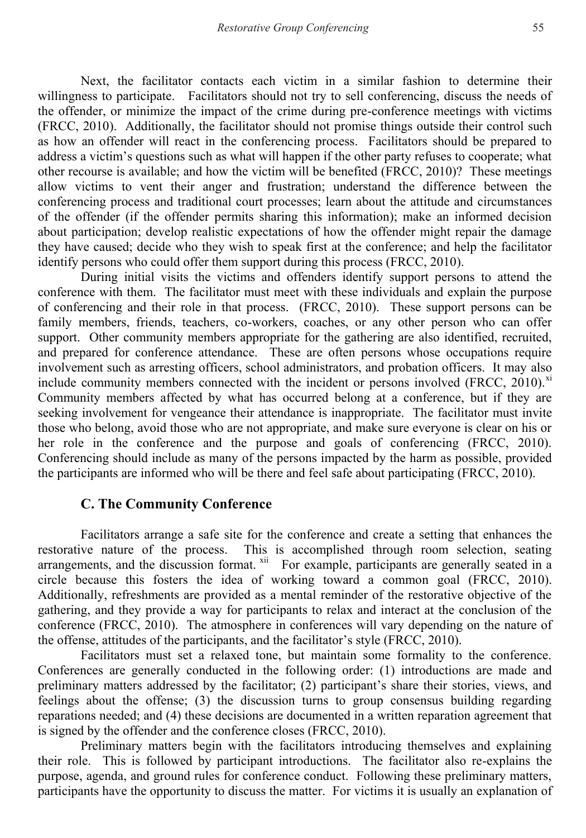Next, the facilitator contacts each victim in a similar fashion to determine their willingness to participate. Facilitators should not try to sell conferencing, discuss the needs of the offender, or minimize the impact of the crime during pre-conference meetings with victims (FRCC, 2010). Additionally, the facilitator should not promise things outside their control such as how an offender will react in the conferencing process. Facilitators should be prepared to address a victim's questions such as what will happen if the other party refuses to cooperate; what other recourse is available; and how the victim will be benefited (FRCC, 2010)? These meetings allow victims to vent their anger and frustration; understand the difference between the conferencing process and traditional court processes; learn about the attitude and circumstances of the offender (if the offender permits sharing this information); make an informed decision about participation; develop realistic expectations of how the offender might repair the damage they have caused; decide who they wish to speak first at the conference; and help the facilitator identify persons who could offer them support during this process (FRCC, 2010).

During initial visits the victims and offenders identify support persons to attend the conference with them. The facilitator must meet with these individuals and explain the purpose of conferencing and their role in that process. (FRCC, 2010). These support persons can be family members, friends, teachers, co-workers, coaches, or any other person who can offer support. Other community members appropriate for the gathering are also identified, recruited, and prepared for conference attendance. These are often persons whose occupations require involvement such as arresting officers, school administrators, and probation officers. It may also include community members connected with the incident or persons involved (FRCC, 2010). $^{x}$ Community members affected by what has occurred belong at a conference, but if they are seeking involvement for vengeance their attendance is inappropriate. The facilitator must invite those who belong, avoid those who are not appropriate, and make sure everyone is clear on his or her role in the conference and the purpose and goals of conferencing (FRCC, 2010). Conferencing should include as many of the persons impacted by the harm as possible, provided the participants are informed who will be there and feel safe about participating (FRCC, 2010).

#### **C. The Community Conference**

Facilitators arrange a safe site for the conference and create a setting that enhances the restorative nature of the process. This is accomplished through room selection, seating arrangements, and the discussion format.  $x^{iii}$  For example, participants are generally seated in a circle because this fosters the idea of working toward a common goal (FRCC, 2010). Additionally, refreshments are provided as a mental reminder of the restorative objective of the gathering, and they provide a way for participants to relax and interact at the conclusion of the conference (FRCC, 2010). The atmosphere in conferences will vary depending on the nature of the offense, attitudes of the participants, and the facilitator's style (FRCC, 2010).

Facilitators must set a relaxed tone, but maintain some formality to the conference. Conferences are generally conducted in the following order: (1) introductions are made and preliminary matters addressed by the facilitator; (2) participant's share their stories, views, and feelings about the offense; (3) the discussion turns to group consensus building regarding reparations needed; and (4) these decisions are documented in a written reparation agreement that is signed by the offender and the conference closes (FRCC, 2010).

Preliminary matters begin with the facilitators introducing themselves and explaining their role. This is followed by participant introductions. The facilitator also re-explains the purpose, agenda, and ground rules for conference conduct. Following these preliminary matters, participants have the opportunity to discuss the matter. For victims it is usually an explanation of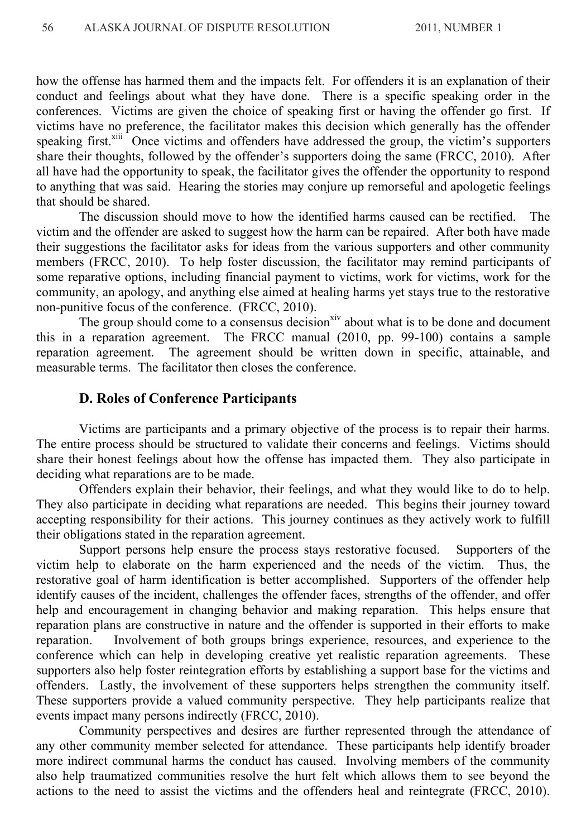how the offense has harmed them and the impacts felt. For offenders it is an explanation of their conduct and feelings about what they have done. There is a specific speaking order in the conferences. Victims are given the choice of speaking first or having the offender go first. If victims have no preference, the facilitator makes this decision which generally has the offender speaking first.<sup>xiii</sup> Once victims and offenders have addressed the group, the victim's supporters share their thoughts, followed by the offender's supporters doing the same (FRCC, 2010). After all have had the opportunity to speak, the facilitator gives the offender the opportunity to respond to anything that was said. Hearing the stories may conjure up remorseful and apologetic feelings that should be shared.

 The discussion should move to how the identified harms caused can be rectified. The victim and the offender are asked to suggest how the harm can be repaired. After both have made their suggestions the facilitator asks for ideas from the various supporters and other community members (FRCC, 2010). To help foster discussion, the facilitator may remind participants of some reparative options, including financial payment to victims, work for victims, work for the community, an apology, and anything else aimed at healing harms yet stays true to the restorative non-punitive focus of the conference. (FRCC, 2010).

The group should come to a consensus decision<sup>xiv</sup> about what is to be done and document this in a reparation agreement. The FRCC manual (2010, pp. 99-100) contains a sample reparation agreement. The agreement should be written down in specific, attainable, and measurable terms. The facilitator then closes the conference.

#### **D. Roles of Conference Participants**

Victims are participants and a primary objective of the process is to repair their harms. The entire process should be structured to validate their concerns and feelings. Victims should share their honest feelings about how the offense has impacted them. They also participate in deciding what reparations are to be made.

Offenders explain their behavior, their feelings, and what they would like to do to help. They also participate in deciding what reparations are needed. This begins their journey toward accepting responsibility for their actions. This journey continues as they actively work to fulfill their obligations stated in the reparation agreement.

Support persons help ensure the process stays restorative focused. Supporters of the victim help to elaborate on the harm experienced and the needs of the victim. Thus, the restorative goal of harm identification is better accomplished. Supporters of the offender help identify causes of the incident, challenges the offender faces, strengths of the offender, and offer help and encouragement in changing behavior and making reparation. This helps ensure that reparation plans are constructive in nature and the offender is supported in their efforts to make reparation. Involvement of both groups brings experience, resources, and experience to the conference which can help in developing creative yet realistic reparation agreements. These supporters also help foster reintegration efforts by establishing a support base for the victims and offenders. Lastly, the involvement of these supporters helps strengthen the community itself. These supporters provide a valued community perspective. They help participants realize that events impact many persons indirectly (FRCC, 2010).

Community perspectives and desires are further represented through the attendance of any other community member selected for attendance. These participants help identify broader more indirect communal harms the conduct has caused. Involving members of the community also help traumatized communities resolve the hurt felt which allows them to see beyond the actions to the need to assist the victims and the offenders heal and reintegrate (FRCC, 2010).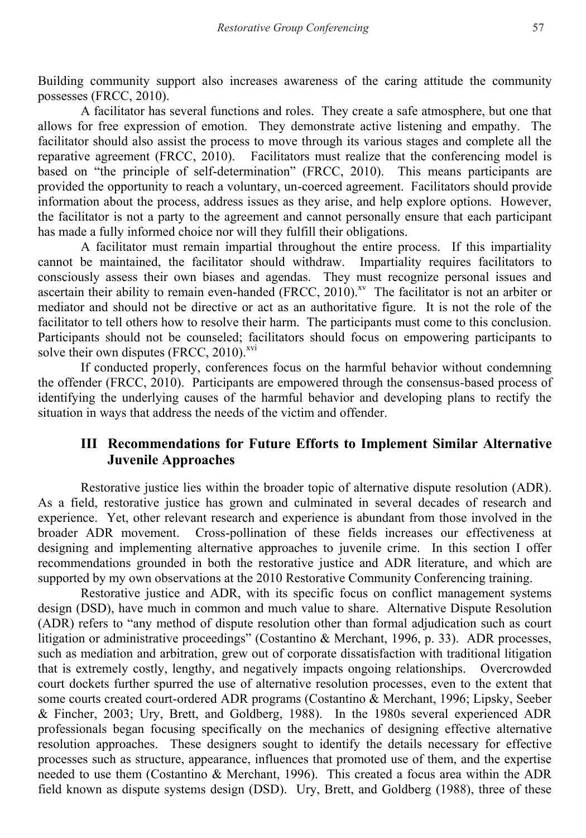Building community support also increases awareness of the caring attitude the community possesses (FRCC, 2010).

 A facilitator has several functions and roles. They create a safe atmosphere, but one that allows for free expression of emotion. They demonstrate active listening and empathy. The facilitator should also assist the process to move through its various stages and complete all the reparative agreement (FRCC, 2010). Facilitators must realize that the conferencing model is based on "the principle of self-determination" (FRCC, 2010). This means participants are provided the opportunity to reach a voluntary, un-coerced agreement. Facilitators should provide information about the process, address issues as they arise, and help explore options. However, the facilitator is not a party to the agreement and cannot personally ensure that each participant has made a fully informed choice nor will they fulfill their obligations.

A facilitator must remain impartial throughout the entire process. If this impartiality cannot be maintained, the facilitator should withdraw. Impartiality requires facilitators to consciously assess their own biases and agendas. They must recognize personal issues and ascertain their ability to remain even-handed (FRCC, 2010).<sup>xv</sup> The facilitator is not an arbiter or mediator and should not be directive or act as an authoritative figure. It is not the role of the facilitator to tell others how to resolve their harm. The participants must come to this conclusion. Participants should not be counseled; facilitators should focus on empowering participants to solve their own disputes (FRCC, 2010).<sup>xvi</sup>

If conducted properly, conferences focus on the harmful behavior without condemning the offender (FRCC, 2010). Participants are empowered through the consensus-based process of identifying the underlying causes of the harmful behavior and developing plans to rectify the situation in ways that address the needs of the victim and offender.

# **III Recommendations for Future Efforts to Implement Similar Alternative Juvenile Approaches**

Restorative justice lies within the broader topic of alternative dispute resolution (ADR). As a field, restorative justice has grown and culminated in several decades of research and experience. Yet, other relevant research and experience is abundant from those involved in the broader ADR movement. Cross-pollination of these fields increases our effectiveness at designing and implementing alternative approaches to juvenile crime. In this section I offer recommendations grounded in both the restorative justice and ADR literature, and which are supported by my own observations at the 2010 Restorative Community Conferencing training.

Restorative justice and ADR, with its specific focus on conflict management systems design (DSD), have much in common and much value to share. Alternative Dispute Resolution (ADR) refers to "any method of dispute resolution other than formal adjudication such as court litigation or administrative proceedings" (Costantino & Merchant, 1996, p. 33). ADR processes, such as mediation and arbitration, grew out of corporate dissatisfaction with traditional litigation that is extremely costly, lengthy, and negatively impacts ongoing relationships. Overcrowded court dockets further spurred the use of alternative resolution processes, even to the extent that some courts created court-ordered ADR programs (Costantino & Merchant, 1996; Lipsky, Seeber & Fincher, 2003; Ury, Brett, and Goldberg, 1988). In the 1980s several experienced ADR professionals began focusing specifically on the mechanics of designing effective alternative resolution approaches. These designers sought to identify the details necessary for effective processes such as structure, appearance, influences that promoted use of them, and the expertise needed to use them (Costantino & Merchant, 1996). This created a focus area within the ADR field known as dispute systems design (DSD). Ury, Brett, and Goldberg (1988), three of these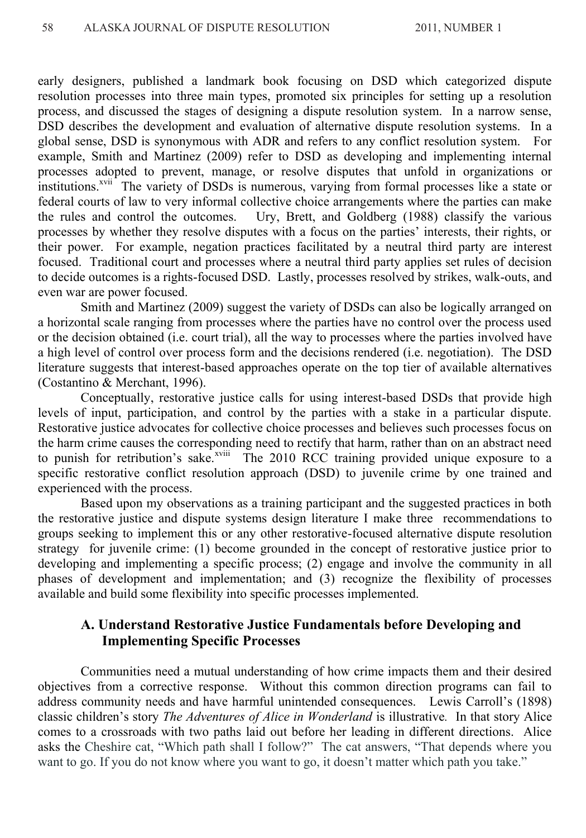early designers, published a landmark book focusing on DSD which categorized dispute resolution processes into three main types, promoted six principles for setting up a resolution process, and discussed the stages of designing a dispute resolution system. In a narrow sense, DSD describes the development and evaluation of alternative dispute resolution systems. In a global sense, DSD is synonymous with ADR and refers to any conflict resolution system. For example, Smith and Martinez (2009) refer to DSD as developing and implementing internal processes adopted to prevent, manage, or resolve disputes that unfold in organizations or institutions.<sup>xvii</sup> The variety of DSDs is numerous, varying from formal processes like a state or federal courts of law to very informal collective choice arrangements where the parties can make the rules and control the outcomes. Ury, Brett, and Goldberg (1988) classify the various processes by whether they resolve disputes with a focus on the parties' interests, their rights, or their power. For example, negation practices facilitated by a neutral third party are interest focused. Traditional court and processes where a neutral third party applies set rules of decision to decide outcomes is a rights-focused DSD. Lastly, processes resolved by strikes, walk-outs, and even war are power focused.

Smith and Martinez (2009) suggest the variety of DSDs can also be logically arranged on a horizontal scale ranging from processes where the parties have no control over the process used or the decision obtained (i.e. court trial), all the way to processes where the parties involved have a high level of control over process form and the decisions rendered (i.e. negotiation). The DSD literature suggests that interest-based approaches operate on the top tier of available alternatives (Costantino & Merchant, 1996).

Conceptually, restorative justice calls for using interest-based DSDs that provide high levels of input, participation, and control by the parties with a stake in a particular dispute. Restorative justice advocates for collective choice processes and believes such processes focus on the harm crime causes the corresponding need to rectify that harm, rather than on an abstract need to punish for retribution's sake. $x$ <sup>xviii</sup> The 2010 RCC training provided unique exposure to a specific restorative conflict resolution approach (DSD) to juvenile crime by one trained and experienced with the process.

Based upon my observations as a training participant and the suggested practices in both the restorative justice and dispute systems design literature I make three recommendations to groups seeking to implement this or any other restorative-focused alternative dispute resolution strategy for juvenile crime: (1) become grounded in the concept of restorative justice prior to developing and implementing a specific process; (2) engage and involve the community in all phases of development and implementation; and (3) recognize the flexibility of processes available and build some flexibility into specific processes implemented.

# **A. Understand Restorative Justice Fundamentals before Developing and Implementing Specific Processes**

Communities need a mutual understanding of how crime impacts them and their desired objectives from a corrective response. Without this common direction programs can fail to address community needs and have harmful unintended consequences. Lewis Carroll's (1898) classic children's story *The Adventures of Alice in Wonderland* is illustrative*.* In that story Alice comes to a crossroads with two paths laid out before her leading in different directions. Alice asks the Cheshire cat, "Which path shall I follow?" The cat answers, "That depends where you want to go. If you do not know where you want to go, it doesn't matter which path you take."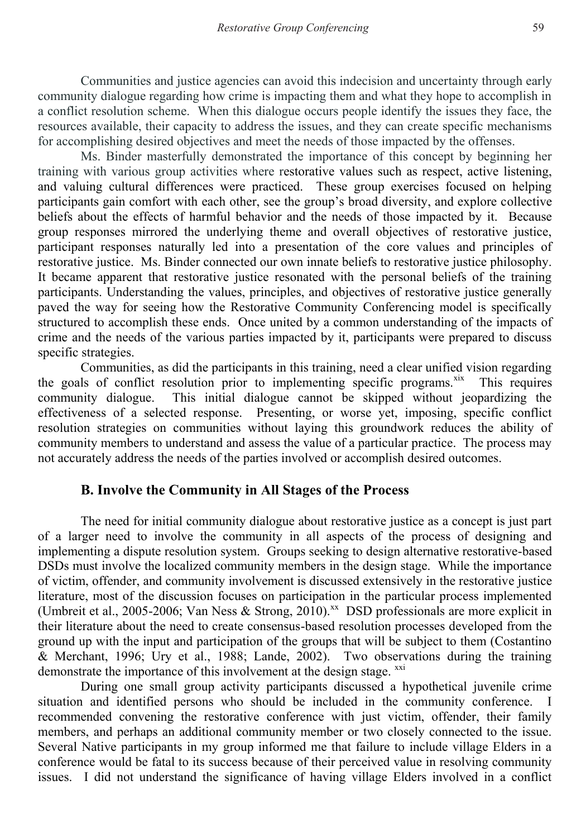Communities and justice agencies can avoid this indecision and uncertainty through early community dialogue regarding how crime is impacting them and what they hope to accomplish in a conflict resolution scheme. When this dialogue occurs people identify the issues they face, the resources available, their capacity to address the issues, and they can create specific mechanisms for accomplishing desired objectives and meet the needs of those impacted by the offenses.

Ms. Binder masterfully demonstrated the importance of this concept by beginning her training with various group activities where restorative values such as respect, active listening, and valuing cultural differences were practiced. These group exercises focused on helping participants gain comfort with each other, see the group's broad diversity, and explore collective beliefs about the effects of harmful behavior and the needs of those impacted by it. Because group responses mirrored the underlying theme and overall objectives of restorative justice, participant responses naturally led into a presentation of the core values and principles of restorative justice. Ms. Binder connected our own innate beliefs to restorative justice philosophy. It became apparent that restorative justice resonated with the personal beliefs of the training participants. Understanding the values, principles, and objectives of restorative justice generally paved the way for seeing how the Restorative Community Conferencing model is specifically structured to accomplish these ends. Once united by a common understanding of the impacts of crime and the needs of the various parties impacted by it, participants were prepared to discuss specific strategies.

Communities, as did the participants in this training, need a clear unified vision regarding the goals of conflict resolution prior to implementing specific programs. $x$ <sup>xix</sup> This requires community dialogue. This initial dialogue cannot be skipped without jeopardizing the effectiveness of a selected response. Presenting, or worse yet, imposing, specific conflict resolution strategies on communities without laying this groundwork reduces the ability of community members to understand and assess the value of a particular practice. The process may not accurately address the needs of the parties involved or accomplish desired outcomes.

## **B. Involve the Community in All Stages of the Process**

The need for initial community dialogue about restorative justice as a concept is just part of a larger need to involve the community in all aspects of the process of designing and implementing a dispute resolution system. Groups seeking to design alternative restorative-based DSDs must involve the localized community members in the design stage. While the importance of victim, offender, and community involvement is discussed extensively in the restorative justice literature, most of the discussion focuses on participation in the particular process implemented (Umbreit et al., 2005-2006; Van Ness & Strong, 2010).<sup>xx</sup> DSD professionals are more explicit in their literature about the need to create consensus-based resolution processes developed from the ground up with the input and participation of the groups that will be subject to them (Costantino & Merchant, 1996; Ury et al., 1988; Lande, 2002). Two observations during the training demonstrate the importance of this involvement at the design stage.  $^{xxi}$ 

During one small group activity participants discussed a hypothetical juvenile crime situation and identified persons who should be included in the community conference. I recommended convening the restorative conference with just victim, offender, their family members, and perhaps an additional community member or two closely connected to the issue. Several Native participants in my group informed me that failure to include village Elders in a conference would be fatal to its success because of their perceived value in resolving community issues. I did not understand the significance of having village Elders involved in a conflict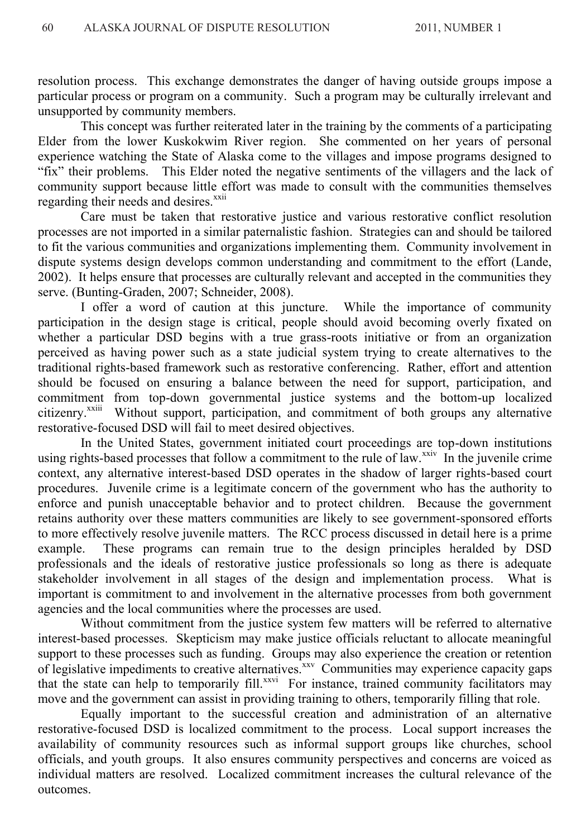resolution process. This exchange demonstrates the danger of having outside groups impose a particular process or program on a community. Such a program may be culturally irrelevant and unsupported by community members.

This concept was further reiterated later in the training by the comments of a participating Elder from the lower Kuskokwim River region. She commented on her years of personal experience watching the State of Alaska come to the villages and impose programs designed to "fix" their problems. This Elder noted the negative sentiments of the villagers and the lack of community support because little effort was made to consult with the communities themselves regarding their needs and desires.<sup>xxii</sup>

Care must be taken that restorative justice and various restorative conflict resolution processes are not imported in a similar paternalistic fashion. Strategies can and should be tailored to fit the various communities and organizations implementing them. Community involvement in dispute systems design develops common understanding and commitment to the effort (Lande, 2002). It helps ensure that processes are culturally relevant and accepted in the communities they serve. (Bunting-Graden, 2007; Schneider, 2008).

I offer a word of caution at this juncture. While the importance of community participation in the design stage is critical, people should avoid becoming overly fixated on whether a particular DSD begins with a true grass-roots initiative or from an organization perceived as having power such as a state judicial system trying to create alternatives to the traditional rights-based framework such as restorative conferencing. Rather, effort and attention should be focused on ensuring a balance between the need for support, participation, and commitment from top-down governmental justice systems and the bottom-up localized citizenry.<sup>xxiii</sup> Without support, participation, and commitment of both groups any alternative restorative-focused DSD will fail to meet desired objectives.

In the United States, government initiated court proceedings are top-down institutions using rights-based processes that follow a commitment to the rule of law.<sup>xxiv</sup> In the juvenile crime context, any alternative interest-based DSD operates in the shadow of larger rights-based court procedures. Juvenile crime is a legitimate concern of the government who has the authority to enforce and punish unacceptable behavior and to protect children. Because the government retains authority over these matters communities are likely to see government-sponsored efforts to more effectively resolve juvenile matters. The RCC process discussed in detail here is a prime example. These programs can remain true to the design principles heralded by DSD professionals and the ideals of restorative justice professionals so long as there is adequate stakeholder involvement in all stages of the design and implementation process. What is important is commitment to and involvement in the alternative processes from both government agencies and the local communities where the processes are used.

Without commitment from the justice system few matters will be referred to alternative interest-based processes. Skepticism may make justice officials reluctant to allocate meaningful support to these processes such as funding. Groups may also experience the creation or retention of legislative impediments to creative alternatives.<sup>xxv</sup> Communities may experience capacity gaps that the state can help to temporarily fill.<sup>xxvi</sup> For instance, trained community facilitators may move and the government can assist in providing training to others, temporarily filling that role.

Equally important to the successful creation and administration of an alternative restorative-focused DSD is localized commitment to the process. Local support increases the availability of community resources such as informal support groups like churches, school officials, and youth groups. It also ensures community perspectives and concerns are voiced as individual matters are resolved. Localized commitment increases the cultural relevance of the outcomes.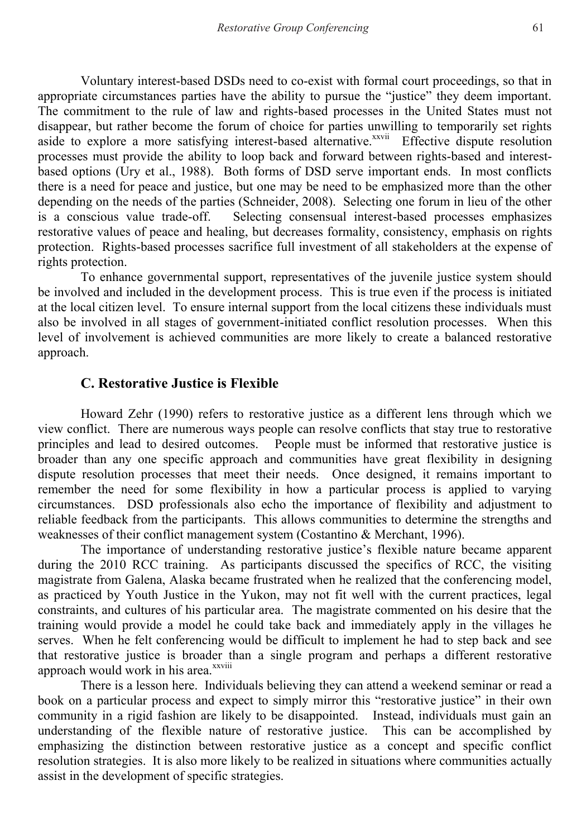Voluntary interest-based DSDs need to co-exist with formal court proceedings, so that in appropriate circumstances parties have the ability to pursue the "justice" they deem important. The commitment to the rule of law and rights-based processes in the United States must not disappear, but rather become the forum of choice for parties unwilling to temporarily set rights aside to explore a more satisfying interest-based alternative.<sup>xxvii</sup> Effective dispute resolution processes must provide the ability to loop back and forward between rights-based and interestbased options (Ury et al., 1988). Both forms of DSD serve important ends. In most conflicts there is a need for peace and justice, but one may be need to be emphasized more than the other depending on the needs of the parties (Schneider, 2008). Selecting one forum in lieu of the other is a conscious value trade-off. Selecting consensual interest-based processes emphasizes restorative values of peace and healing, but decreases formality, consistency, emphasis on rights protection. Rights-based processes sacrifice full investment of all stakeholders at the expense of rights protection.

To enhance governmental support, representatives of the juvenile justice system should be involved and included in the development process. This is true even if the process is initiated at the local citizen level. To ensure internal support from the local citizens these individuals must also be involved in all stages of government-initiated conflict resolution processes. When this level of involvement is achieved communities are more likely to create a balanced restorative approach.

## **C. Restorative Justice is Flexible**

Howard Zehr (1990) refers to restorative justice as a different lens through which we view conflict. There are numerous ways people can resolve conflicts that stay true to restorative principles and lead to desired outcomes. People must be informed that restorative justice is broader than any one specific approach and communities have great flexibility in designing dispute resolution processes that meet their needs. Once designed, it remains important to remember the need for some flexibility in how a particular process is applied to varying circumstances. DSD professionals also echo the importance of flexibility and adjustment to reliable feedback from the participants. This allows communities to determine the strengths and weaknesses of their conflict management system (Costantino & Merchant, 1996).

 The importance of understanding restorative justice's flexible nature became apparent during the 2010 RCC training. As participants discussed the specifics of RCC, the visiting magistrate from Galena, Alaska became frustrated when he realized that the conferencing model, as practiced by Youth Justice in the Yukon, may not fit well with the current practices, legal constraints, and cultures of his particular area. The magistrate commented on his desire that the training would provide a model he could take back and immediately apply in the villages he serves. When he felt conferencing would be difficult to implement he had to step back and see that restorative justice is broader than a single program and perhaps a different restorative approach would work in his area.<sup>xxviii</sup>

There is a lesson here. Individuals believing they can attend a weekend seminar or read a book on a particular process and expect to simply mirror this "restorative justice" in their own community in a rigid fashion are likely to be disappointed. Instead, individuals must gain an understanding of the flexible nature of restorative justice. This can be accomplished by emphasizing the distinction between restorative justice as a concept and specific conflict resolution strategies. It is also more likely to be realized in situations where communities actually assist in the development of specific strategies.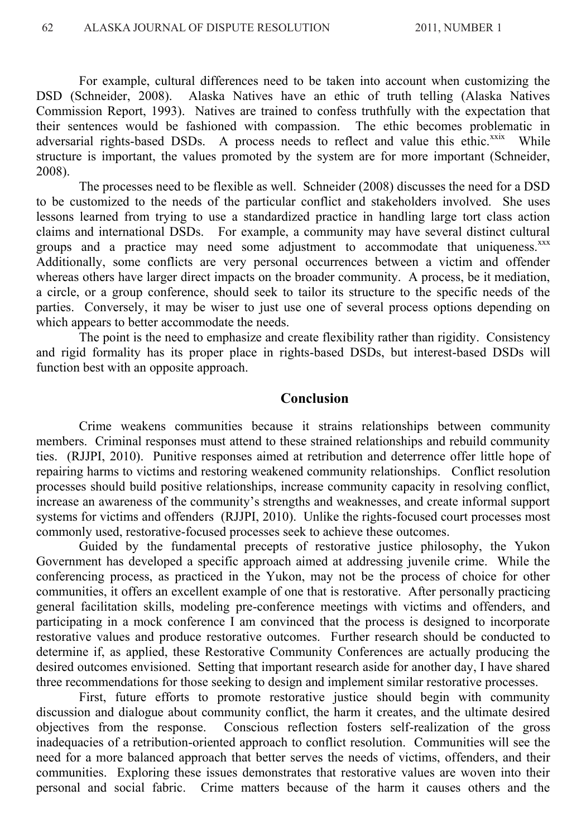For example, cultural differences need to be taken into account when customizing the DSD (Schneider, 2008). Alaska Natives have an ethic of truth telling (Alaska Natives Commission Report, 1993). Natives are trained to confess truthfully with the expectation that their sentences would be fashioned with compassion. The ethic becomes problematic in adversarial rights-based DSDs. A process needs to reflect and value this ethic.<sup>xxix</sup> While structure is important, the values promoted by the system are for more important (Schneider, 2008).

The processes need to be flexible as well. Schneider (2008) discusses the need for a DSD to be customized to the needs of the particular conflict and stakeholders involved. She uses lessons learned from trying to use a standardized practice in handling large tort class action claims and international DSDs. For example, a community may have several distinct cultural groups and a practice may need some adjustment to accommodate that uniqueness.<sup>xxx</sup> Additionally, some conflicts are very personal occurrences between a victim and offender whereas others have larger direct impacts on the broader community. A process, be it mediation, a circle, or a group conference, should seek to tailor its structure to the specific needs of the parties. Conversely, it may be wiser to just use one of several process options depending on which appears to better accommodate the needs.

The point is the need to emphasize and create flexibility rather than rigidity. Consistency and rigid formality has its proper place in rights-based DSDs, but interest-based DSDs will function best with an opposite approach.

#### **Conclusion**

Crime weakens communities because it strains relationships between community members. Criminal responses must attend to these strained relationships and rebuild community ties. (RJJPI, 2010). Punitive responses aimed at retribution and deterrence offer little hope of repairing harms to victims and restoring weakened community relationships. Conflict resolution processes should build positive relationships, increase community capacity in resolving conflict, increase an awareness of the community's strengths and weaknesses, and create informal support systems for victims and offenders (RJJPI, 2010). Unlike the rights-focused court processes most commonly used, restorative-focused processes seek to achieve these outcomes.

Guided by the fundamental precepts of restorative justice philosophy, the Yukon Government has developed a specific approach aimed at addressing juvenile crime. While the conferencing process, as practiced in the Yukon, may not be the process of choice for other communities, it offers an excellent example of one that is restorative. After personally practicing general facilitation skills, modeling pre-conference meetings with victims and offenders, and participating in a mock conference I am convinced that the process is designed to incorporate restorative values and produce restorative outcomes. Further research should be conducted to determine if, as applied, these Restorative Community Conferences are actually producing the desired outcomes envisioned. Setting that important research aside for another day, I have shared three recommendations for those seeking to design and implement similar restorative processes.

First, future efforts to promote restorative justice should begin with community discussion and dialogue about community conflict, the harm it creates, and the ultimate desired objectives from the response. Conscious reflection fosters self-realization of the gross inadequacies of a retribution-oriented approach to conflict resolution. Communities will see the need for a more balanced approach that better serves the needs of victims, offenders, and their communities. Exploring these issues demonstrates that restorative values are woven into their personal and social fabric. Crime matters because of the harm it causes others and the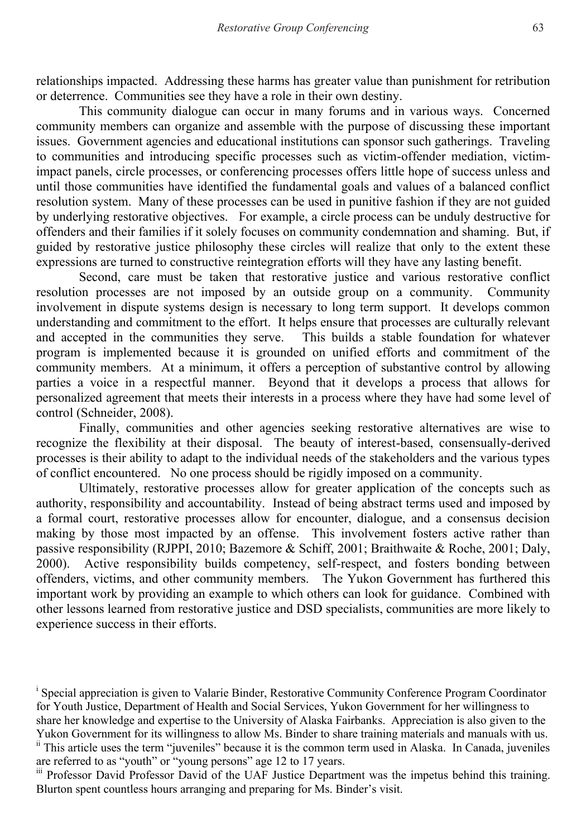relationships impacted. Addressing these harms has greater value than punishment for retribution or deterrence. Communities see they have a role in their own destiny.

This community dialogue can occur in many forums and in various ways. Concerned community members can organize and assemble with the purpose of discussing these important issues. Government agencies and educational institutions can sponsor such gatherings. Traveling to communities and introducing specific processes such as victim-offender mediation, victimimpact panels, circle processes, or conferencing processes offers little hope of success unless and until those communities have identified the fundamental goals and values of a balanced conflict resolution system. Many of these processes can be used in punitive fashion if they are not guided by underlying restorative objectives. For example, a circle process can be unduly destructive for offenders and their families if it solely focuses on community condemnation and shaming. But, if guided by restorative justice philosophy these circles will realize that only to the extent these expressions are turned to constructive reintegration efforts will they have any lasting benefit.

Second, care must be taken that restorative justice and various restorative conflict resolution processes are not imposed by an outside group on a community. Community involvement in dispute systems design is necessary to long term support. It develops common understanding and commitment to the effort. It helps ensure that processes are culturally relevant and accepted in the communities they serve. This builds a stable foundation for whatever program is implemented because it is grounded on unified efforts and commitment of the community members. At a minimum, it offers a perception of substantive control by allowing parties a voice in a respectful manner. Beyond that it develops a process that allows for personalized agreement that meets their interests in a process where they have had some level of control (Schneider, 2008).

Finally, communities and other agencies seeking restorative alternatives are wise to recognize the flexibility at their disposal. The beauty of interest-based, consensually-derived processes is their ability to adapt to the individual needs of the stakeholders and the various types of conflict encountered. No one process should be rigidly imposed on a community.

Ultimately, restorative processes allow for greater application of the concepts such as authority, responsibility and accountability. Instead of being abstract terms used and imposed by a formal court, restorative processes allow for encounter, dialogue, and a consensus decision making by those most impacted by an offense. This involvement fosters active rather than passive responsibility (RJPPI, 2010; Bazemore & Schiff, 2001; Braithwaite & Roche, 2001; Daly, 2000). Active responsibility builds competency, self-respect, and fosters bonding between offenders, victims, and other community members. The Yukon Government has furthered this important work by providing an example to which others can look for guidance. Combined with other lessons learned from restorative justice and DSD specialists, communities are more likely to experience success in their efforts.

<sup>&</sup>lt;sup>i</sup> Special appreciation is given to Valarie Binder, Restorative Community Conference Program Coordinator for Youth Justice, Department of Health and Social Services, Yukon Government for her willingness to share her knowledge and expertise to the University of Alaska Fairbanks. Appreciation is also given to the

Yukon Government for its willingness to allow Ms. Binder to share training materials and manuals with us. ii This article uses the term "juveniles" because it is the common term used in Alaska. In Canada, juveniles are referred to as "youth" or "young persons" age 12 to 17 years.

iii Professor David Professor David of the UAF Justice Department was the impetus behind this training. Blurton spent countless hours arranging and preparing for Ms. Binder's visit.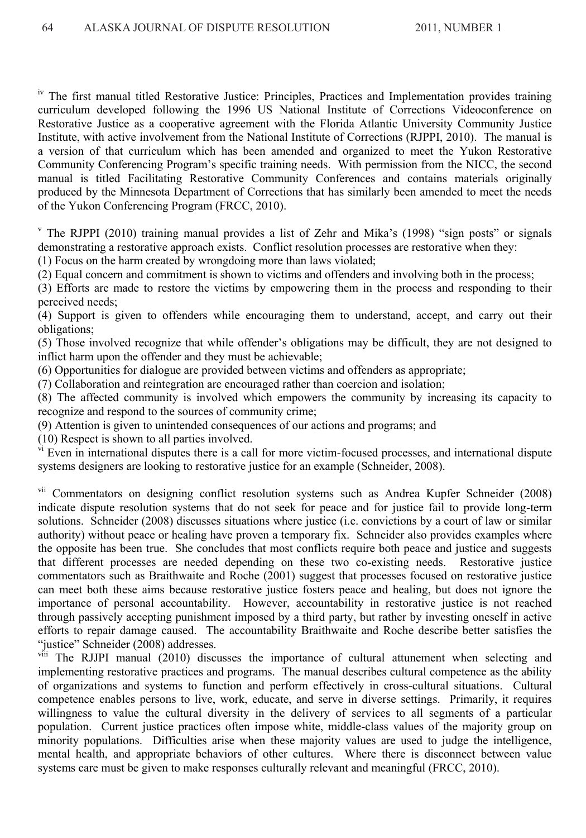<sup>iv</sup> The first manual titled Restorative Justice: Principles, Practices and Implementation provides training curriculum developed following the 1996 US National Institute of Corrections Videoconference on Restorative Justice as a cooperative agreement with the Florida Atlantic University Community Justice Institute, with active involvement from the National Institute of Corrections (RJPPI, 2010). The manual is a version of that curriculum which has been amended and organized to meet the Yukon Restorative Community Conferencing Program's specific training needs. With permission from the NICC, the second manual is titled Facilitating Restorative Community Conferences and contains materials originally produced by the Minnesota Department of Corrections that has similarly been amended to meet the needs of the Yukon Conferencing Program (FRCC, 2010).

v The RJPPI (2010) training manual provides a list of Zehr and Mika's (1998) "sign posts" or signals demonstrating a restorative approach exists. Conflict resolution processes are restorative when they:

(1) Focus on the harm created by wrongdoing more than laws violated;

(2) Equal concern and commitment is shown to victims and offenders and involving both in the process;

(3) Efforts are made to restore the victims by empowering them in the process and responding to their perceived needs;

(4) Support is given to offenders while encouraging them to understand, accept, and carry out their obligations;

(5) Those involved recognize that while offender's obligations may be difficult, they are not designed to inflict harm upon the offender and they must be achievable;

(6) Opportunities for dialogue are provided between victims and offenders as appropriate;

(7) Collaboration and reintegration are encouraged rather than coercion and isolation;

(8) The affected community is involved which empowers the community by increasing its capacity to recognize and respond to the sources of community crime;

(9) Attention is given to unintended consequences of our actions and programs; and

(10) Respect is shown to all parties involved.

<sup>vi</sup> Even in international disputes there is a call for more victim-focused processes, and international dispute systems designers are looking to restorative justice for an example (Schneider, 2008).

vii Commentators on designing conflict resolution systems such as Andrea Kupfer Schneider (2008) indicate dispute resolution systems that do not seek for peace and for justice fail to provide long-term solutions. Schneider (2008) discusses situations where justice (i.e. convictions by a court of law or similar authority) without peace or healing have proven a temporary fix. Schneider also provides examples where the opposite has been true. She concludes that most conflicts require both peace and justice and suggests that different processes are needed depending on these two co-existing needs. Restorative justice commentators such as Braithwaite and Roche (2001) suggest that processes focused on restorative justice can meet both these aims because restorative justice fosters peace and healing, but does not ignore the importance of personal accountability. However, accountability in restorative justice is not reached through passively accepting punishment imposed by a third party, but rather by investing oneself in active efforts to repair damage caused. The accountability Braithwaite and Roche describe better satisfies the "justice" Schneider (2008) addresses.

viii The RJJPI manual (2010) discusses the importance of cultural attunement when selecting and implementing restorative practices and programs. The manual describes cultural competence as the ability of organizations and systems to function and perform effectively in cross-cultural situations. Cultural competence enables persons to live, work, educate, and serve in diverse settings. Primarily, it requires willingness to value the cultural diversity in the delivery of services to all segments of a particular population. Current justice practices often impose white, middle-class values of the majority group on minority populations. Difficulties arise when these majority values are used to judge the intelligence, mental health, and appropriate behaviors of other cultures. Where there is disconnect between value systems care must be given to make responses culturally relevant and meaningful (FRCC, 2010).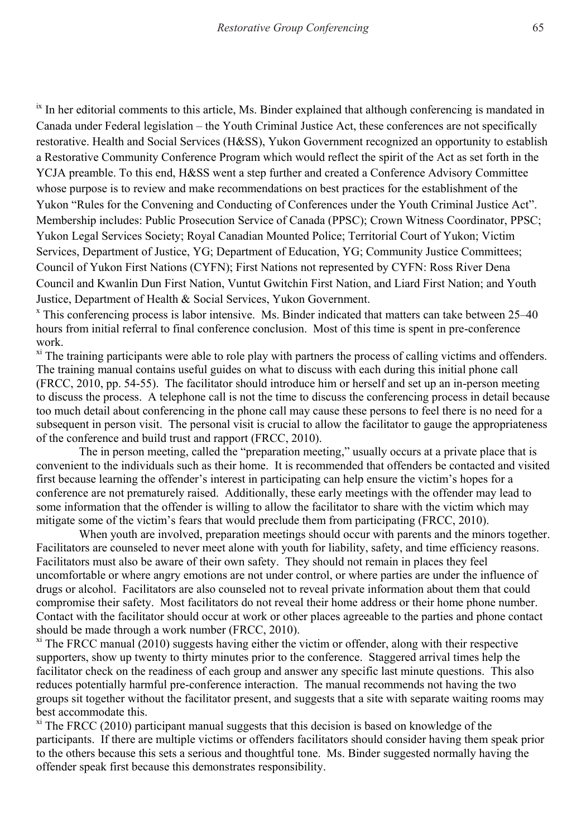<sup>ix</sup> In her editorial comments to this article, Ms. Binder explained that although conferencing is mandated in Canada under Federal legislation – the Youth Criminal Justice Act, these conferences are not specifically restorative. Health and Social Services (H&SS), Yukon Government recognized an opportunity to establish a Restorative Community Conference Program which would reflect the spirit of the Act as set forth in the YCJA preamble. To this end, H&SS went a step further and created a Conference Advisory Committee whose purpose is to review and make recommendations on best practices for the establishment of the Yukon "Rules for the Convening and Conducting of Conferences under the Youth Criminal Justice Act". Membership includes: Public Prosecution Service of Canada (PPSC); Crown Witness Coordinator, PPSC; Yukon Legal Services Society; Royal Canadian Mounted Police; Territorial Court of Yukon; Victim Services, Department of Justice, YG; Department of Education, YG; Community Justice Committees; Council of Yukon First Nations (CYFN); First Nations not represented by CYFN: Ross River Dena Council and Kwanlin Dun First Nation, Vuntut Gwitchin First Nation, and Liard First Nation; and Youth Justice, Department of Health & Social Services, Yukon Government.

x This conferencing process is labor intensive. Ms. Binder indicated that matters can take between 25–40 hours from initial referral to final conference conclusion. Most of this time is spent in pre-conference work.

<sup>xi</sup> The training participants were able to role play with partners the process of calling victims and offenders. The training manual contains useful guides on what to discuss with each during this initial phone call (FRCC, 2010, pp. 54-55). The facilitator should introduce him or herself and set up an in-person meeting to discuss the process. A telephone call is not the time to discuss the conferencing process in detail because too much detail about conferencing in the phone call may cause these persons to feel there is no need for a subsequent in person visit. The personal visit is crucial to allow the facilitator to gauge the appropriateness of the conference and build trust and rapport (FRCC, 2010).

The in person meeting, called the "preparation meeting," usually occurs at a private place that is convenient to the individuals such as their home. It is recommended that offenders be contacted and visited first because learning the offender's interest in participating can help ensure the victim's hopes for a conference are not prematurely raised. Additionally, these early meetings with the offender may lead to some information that the offender is willing to allow the facilitator to share with the victim which may mitigate some of the victim's fears that would preclude them from participating (FRCC, 2010).

When youth are involved, preparation meetings should occur with parents and the minors together. Facilitators are counseled to never meet alone with youth for liability, safety, and time efficiency reasons. Facilitators must also be aware of their own safety. They should not remain in places they feel uncomfortable or where angry emotions are not under control, or where parties are under the influence of drugs or alcohol. Facilitators are also counseled not to reveal private information about them that could compromise their safety. Most facilitators do not reveal their home address or their home phone number. Contact with the facilitator should occur at work or other places agreeable to the parties and phone contact should be made through a work number (FRCC, 2010).

 $x_i$ <sup>xi</sup> The FRCC manual (2010) suggests having either the victim or offender, along with their respective supporters, show up twenty to thirty minutes prior to the conference. Staggered arrival times help the facilitator check on the readiness of each group and answer any specific last minute questions. This also reduces potentially harmful pre-conference interaction. The manual recommends not having the two groups sit together without the facilitator present, and suggests that a site with separate waiting rooms may best accommodate this.

 $x_i$ <sup>xi</sup> The FRCC (2010) participant manual suggests that this decision is based on knowledge of the participants. If there are multiple victims or offenders facilitators should consider having them speak prior to the others because this sets a serious and thoughtful tone. Ms. Binder suggested normally having the offender speak first because this demonstrates responsibility.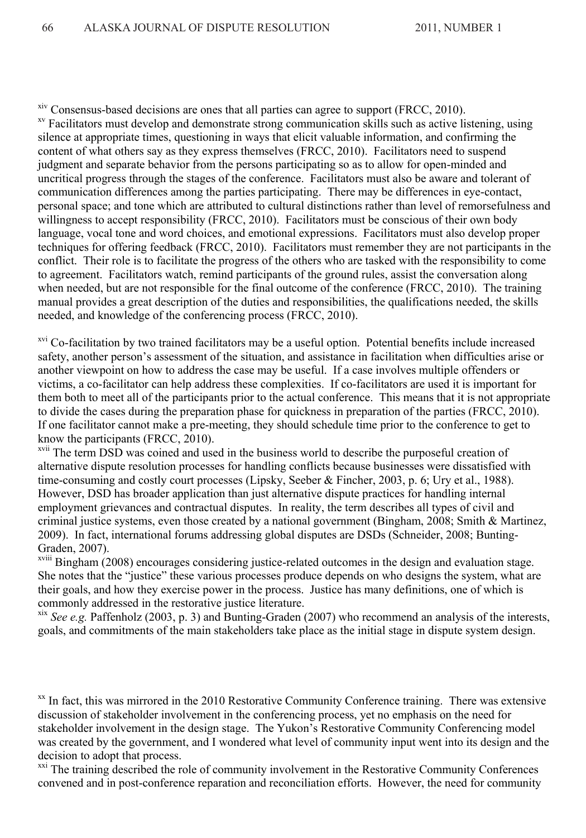$\frac{x}{x}$ <sup>xiv</sup> Consensus-based decisions are ones that all parties can agree to support (FRCC, 2010).<br><sup>xv</sup> Facilitators must develop and demonstrate strong communication skills such as active listening, using

silence at appropriate times, questioning in ways that elicit valuable information, and confirming the content of what others say as they express themselves (FRCC, 2010). Facilitators need to suspend judgment and separate behavior from the persons participating so as to allow for open-minded and uncritical progress through the stages of the conference. Facilitators must also be aware and tolerant of communication differences among the parties participating. There may be differences in eye-contact, personal space; and tone which are attributed to cultural distinctions rather than level of remorsefulness and willingness to accept responsibility (FRCC, 2010). Facilitators must be conscious of their own body language, vocal tone and word choices, and emotional expressions. Facilitators must also develop proper techniques for offering feedback (FRCC, 2010). Facilitators must remember they are not participants in the conflict. Their role is to facilitate the progress of the others who are tasked with the responsibility to come to agreement. Facilitators watch, remind participants of the ground rules, assist the conversation along when needed, but are not responsible for the final outcome of the conference (FRCC, 2010). The training manual provides a great description of the duties and responsibilities, the qualifications needed, the skills needed, and knowledge of the conferencing process (FRCC, 2010).

xvi Co-facilitation by two trained facilitators may be a useful option. Potential benefits include increased safety, another person's assessment of the situation, and assistance in facilitation when difficulties arise or another viewpoint on how to address the case may be useful. If a case involves multiple offenders or victims, a co-facilitator can help address these complexities. If co-facilitators are used it is important for them both to meet all of the participants prior to the actual conference. This means that it is not appropriate to divide the cases during the preparation phase for quickness in preparation of the parties (FRCC, 2010). If one facilitator cannot make a pre-meeting, they should schedule time prior to the conference to get to know the participants (FRCC, 2010).

<sup>xvii</sup> The term DSD was coined and used in the business world to describe the purposeful creation of alternative dispute resolution processes for handling conflicts because businesses were dissatisfied with time-consuming and costly court processes (Lipsky, Seeber & Fincher, 2003, p. 6; Ury et al., 1988). However, DSD has broader application than just alternative dispute practices for handling internal employment grievances and contractual disputes. In reality, the term describes all types of civil and criminal justice systems, even those created by a national government (Bingham, 2008; Smith & Martinez, 2009). In fact, international forums addressing global disputes are DSDs (Schneider, 2008; Bunting-Graden, 2007).

<sup>xviii</sup> Bingham (2008) encourages considering justice-related outcomes in the design and evaluation stage. She notes that the "justice" these various processes produce depends on who designs the system, what are their goals, and how they exercise power in the process. Justice has many definitions, one of which is commonly addressed in the restorative justice literature.

xix *See e.g.* Paffenholz (2003, p. 3) and Bunting-Graden (2007) who recommend an analysis of the interests, goals, and commitments of the main stakeholders take place as the initial stage in dispute system design.

<sup>xx</sup> In fact, this was mirrored in the 2010 Restorative Community Conference training. There was extensive discussion of stakeholder involvement in the conferencing process, yet no emphasis on the need for stakeholder involvement in the design stage. The Yukon's Restorative Community Conferencing model was created by the government, and I wondered what level of community input went into its design and the decision to adopt that process.

xxi The training described the role of community involvement in the Restorative Community Conferences convened and in post-conference reparation and reconciliation efforts. However, the need for community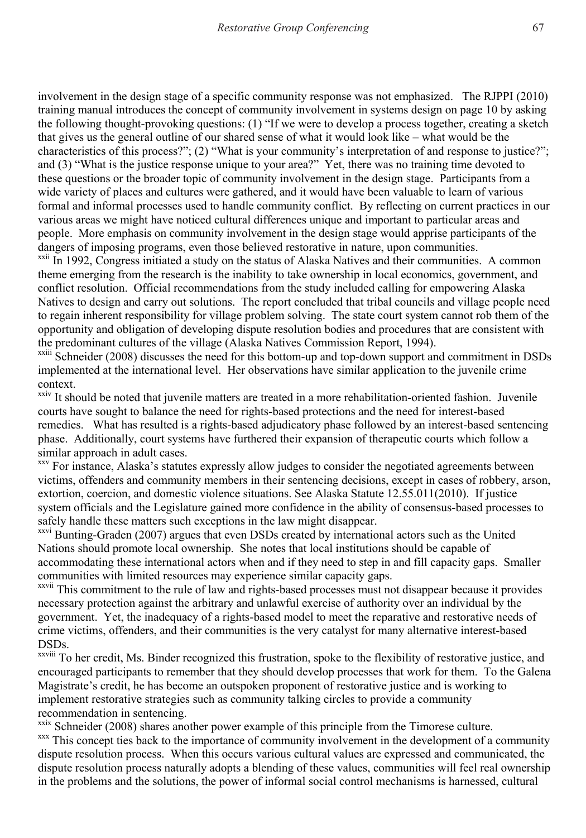involvement in the design stage of a specific community response was not emphasized. The RJPPI (2010) training manual introduces the concept of community involvement in systems design on page 10 by asking the following thought-provoking questions: (1) "If we were to develop a process together, creating a sketch that gives us the general outline of our shared sense of what it would look like – what would be the characteristics of this process?"; (2) "What is your community's interpretation of and response to justice?"; and (3) "What is the justice response unique to your area?" Yet, there was no training time devoted to these questions or the broader topic of community involvement in the design stage. Participants from a wide variety of places and cultures were gathered, and it would have been valuable to learn of various formal and informal processes used to handle community conflict. By reflecting on current practices in our various areas we might have noticed cultural differences unique and important to particular areas and people. More emphasis on community involvement in the design stage would apprise participants of the dangers of imposing programs, even those believed restorative in nature, upon communities.<br><sup>xxii</sup> In 1992, Congress initiated a study on the status of Alaska Natives and their communities. A common

theme emerging from the research is the inability to take ownership in local economics, government, and conflict resolution. Official recommendations from the study included calling for empowering Alaska Natives to design and carry out solutions. The report concluded that tribal councils and village people need to regain inherent responsibility for village problem solving. The state court system cannot rob them of the opportunity and obligation of developing dispute resolution bodies and procedures that are consistent with the predominant cultures of the village (Alaska Natives Commission Report, 1994).

xxiii Schneider (2008) discusses the need for this bottom-up and top-down support and commitment in DSDs implemented at the international level.Her observations have similar application to the juvenile crime

context.xxiv It should be noted that juvenile matters are treated in a more rehabilitation-oriented fashion. Juvenile courts have sought to balance the need for rights-based protections and the need for interest-based remedies. What has resulted is a rights-based adjudicatory phase followed by an interest-based sentencing phase. Additionally, court systems have furthered their expansion of therapeutic courts which follow a similar approach in adult cases.

<sup>xxv</sup> For instance, Alaska's statutes expressly allow judges to consider the negotiated agreements between victims, offenders and community members in their sentencing decisions, except in cases of robbery, arson, extortion, coercion, and domestic violence situations. See Alaska Statute 12.55.011(2010). If justice system officials and the Legislature gained more confidence in the ability of consensus-based processes to safely handle these matters such exceptions in the law might disappear.

<sup>xxvi</sup> Bunting-Graden (2007) argues that even DSDs created by international actors such as the United Nations should promote local ownership. She notes that local institutions should be capable of accommodating these international actors when and if they need to step in and fill capacity gaps. Smaller communities with limited resources may experience similar capacity gaps.

xxvii This commitment to the rule of law and rights-based processes must not disappear because it provides necessary protection against the arbitrary and unlawful exercise of authority over an individual by the government. Yet, the inadequacy of a rights-based model to meet the reparative and restorative needs of crime victims, offenders, and their communities is the very catalyst for many alternative interest-based DSDs.

xxviii To her credit, Ms. Binder recognized this frustration, spoke to the flexibility of restorative justice, and encouraged participants to remember that they should develop processes that work for them. To the Galena Magistrate's credit, he has become an outspoken proponent of restorative justice and is working to implement restorative strategies such as community talking circles to provide a community recommendation in sentencing.<br>xxix Schneider (2008) shares another power example of this principle from the Timorese culture.

 $\frac{1}{x}$  This concept ties back to the importance of community involvement in the development of a community dispute resolution process. When this occurs various cultural values are expressed and communicated, the dispute resolution process naturally adopts a blending of these values, communities will feel real ownership in the problems and the solutions, the power of informal social control mechanisms is harnessed, cultural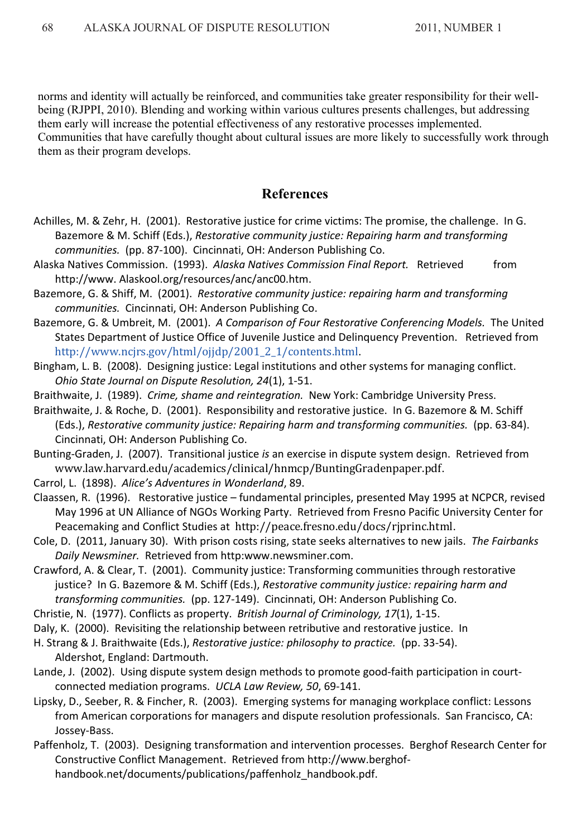norms and identity will actually be reinforced, and communities take greater responsibility for their wellbeing (RJPPI, 2010). Blending and working within various cultures presents challenges, but addressing them early will increase the potential effectiveness of any restorative processes implemented. Communities that have carefully thought about cultural issues are more likely to successfully work through them as their program develops.

### **References**

- Achilles, M. & Zehr, H. (2001). Restorative justice for crime victims: The promise, the challenge. In G. Bazemore & M. Schiff (Eds.), *Restorative community justice: Repairing harm and transforming communities.* (pp. 87-100). Cincinnati, OH: Anderson Publishing Co.
- Alaska Natives Commission. (1993). *Alaska Natives Commission Final Report.* Retrieved from http://www. Alaskool.org/resources/anc/anc00.htm.
- Bazemore, G. & Shiff, M. (2001). *Restorative community justice: repairing harm and transforming communities.* Cincinnati, OH: Anderson Publishing Co.
- Bazemore, G. & Umbreit, M. (2001). *A Comparison of Four Restorative Conferencing Models.* The United States Department of Justice Office of Juvenile Justice and Delinquency Prevention. Retrieved from http://www.ncjrs.gov/html/ojjdp/2001\_2\_1/contents.html.
- Bingham, L. B. (2008). Designing justice: Legal institutions and other systems for managing conflict.  *Ohio State Journal on Dispute Resolution, 24*(1), 1-51.
- Braithwaite, J. (1989). *Crime, shame and reintegration.* New York: Cambridge University Press.
- Braithwaite, J. & Roche, D. (2001). Responsibility and restorative justice.In G. Bazemore & M. Schiff (Eds.), *Restorative community justice: Repairing harm and transforming communities.* (pp. 63-84). Cincinnati, OH: Anderson Publishing Co.
- Bunting-Graden, J. (2007). Transitional justice *is* an exercise in dispute system design. Retrieved from www.law.harvard.edu/academics/clinical/hnmcp/BuntingGradenpaper.pdf.
- Carrol, L. (1898). *Alice's Adventures in Wonderland*, 89.
- Claassen, R. (1996). Restorative justice fundamental principles, presented May 1995 at NCPCR, revised May 1996 at UN Alliance of NGOs Working Party. Retrieved from Fresno Pacific University Center for Peacemaking and Conflict Studies at http://peace.fresno.edu/docs/rjprinc.html.

Cole, D. (2011, January 30). With prison costs rising, state seeks alternatives to new jails. *The Fairbanks Daily Newsminer.* Retrieved from http:www.newsminer.com.

- Crawford, A. & Clear, T. (2001). Community justice: Transforming communities through restorative justice? In G. Bazemore & M. Schiff (Eds.), *Restorative community justice: repairing harm and transforming communities.* (pp. 127-149). Cincinnati, OH: Anderson Publishing Co.
- Christie, N. (1977). Conflicts as property. *British Journal of Criminology, 17*(1), 1-15.
- Daly, K. (2000). Revisiting the relationship between retributive and restorative justice. In
- H. Strang & J. Braithwaite (Eds.), *Restorative justice: philosophy to practice.* (pp. 33-54). Aldershot, England: Dartmouth.
- Lande, J. (2002). Using dispute system design methods to promote good-faith participation in courtconnected mediation programs. *UCLA Law Review, 50*, 69-141.
- Lipsky, D., Seeber, R. & Fincher, R. (2003). Emerging systems for managing workplace conflict: Lessons from American corporations for managers and dispute resolution professionals. San Francisco, CA: Jossey-Bass.
- Paffenholz, T. (2003). Designing transformation and intervention processes. Berghof Research Center for Constructive Conflict Management. Retrieved from http://www.berghofhandbook.net/documents/publications/paffenholz\_handbook.pdf.